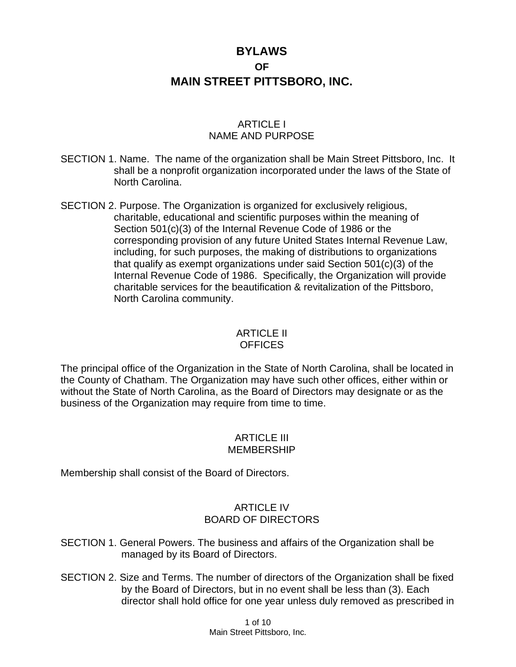# **BYLAWS OF MAIN STREET PITTSBORO, INC.**

# ARTICLE I NAME AND PURPOSE

- SECTION 1. Name. The name of the organization shall be Main Street Pittsboro, Inc. It shall be a nonprofit organization incorporated under the laws of the State of North Carolina.
- SECTION 2. Purpose. The Organization is organized for exclusively religious, charitable, educational and scientific purposes within the meaning of Section 501(c)(3) of the Internal Revenue Code of 1986 or the corresponding provision of any future United States Internal Revenue Law, including, for such purposes, the making of distributions to organizations that qualify as exempt organizations under said Section 501(c)(3) of the Internal Revenue Code of 1986. Specifically, the Organization will provide charitable services for the beautification & revitalization of the Pittsboro, North Carolina community.

#### ARTICLE II **OFFICES**

The principal office of the Organization in the State of North Carolina, shall be located in the County of Chatham. The Organization may have such other offices, either within or without the State of North Carolina, as the Board of Directors may designate or as the business of the Organization may require from time to time.

# ARTICLE III MEMBERSHIP

Membership shall consist of the Board of Directors.

# ARTICLE IV BOARD OF DIRECTORS

- SECTION 1. General Powers. The business and affairs of the Organization shall be managed by its Board of Directors.
- SECTION 2. Size and Terms. The number of directors of the Organization shall be fixed by the Board of Directors, but in no event shall be less than (3). Each director shall hold office for one year unless duly removed as prescribed in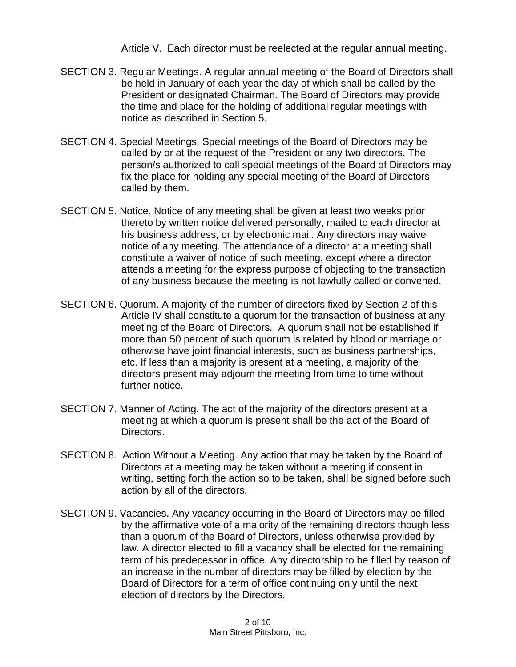Article V. Each director must be reelected at the regular annual meeting.

- SECTION 3. Regular Meetings. A regular annual meeting of the Board of Directors shall be held in January of each year the day of which shall be called by the President or designated Chairman. The Board of Directors may provide the time and place for the holding of additional regular meetings with notice as described in Section 5.
- SECTION 4. Special Meetings. Special meetings of the Board of Directors may be called by or at the request of the President or any two directors. The person/s authorized to call special meetings of the Board of Directors may fix the place for holding any special meeting of the Board of Directors called by them.
- SECTION 5. Notice. Notice of any meeting shall be given at least two weeks prior thereto by written notice delivered personally, mailed to each director at his business address, or by electronic mail. Any directors may waive notice of any meeting. The attendance of a director at a meeting shall constitute a waiver of notice of such meeting, except where a director attends a meeting for the express purpose of objecting to the transaction of any business because the meeting is not lawfully called or convened.
- SECTION 6. Quorum. A majority of the number of directors fixed by Section 2 of this Article IV shall constitute a quorum for the transaction of business at any meeting of the Board of Directors. A quorum shall not be established if more than 50 percent of such quorum is related by blood or marriage or otherwise have joint financial interests, such as business partnerships, etc. If less than a majority is present at a meeting, a majority of the directors present may adjourn the meeting from time to time without further notice.
- SECTION 7. Manner of Acting. The act of the majority of the directors present at a meeting at which a quorum is present shall be the act of the Board of Directors.
- SECTION 8. Action Without a Meeting. Any action that may be taken by the Board of Directors at a meeting may be taken without a meeting if consent in writing, setting forth the action so to be taken, shall be signed before such action by all of the directors.
- SECTION 9. Vacancies. Any vacancy occurring in the Board of Directors may be filled by the affirmative vote of a majority of the remaining directors though less than a quorum of the Board of Directors, unless otherwise provided by law. A director elected to fill a vacancy shall be elected for the remaining term of his predecessor in office. Any directorship to be filled by reason of an increase in the number of directors may be filled by election by the Board of Directors for a term of office continuing only until the next election of directors by the Directors.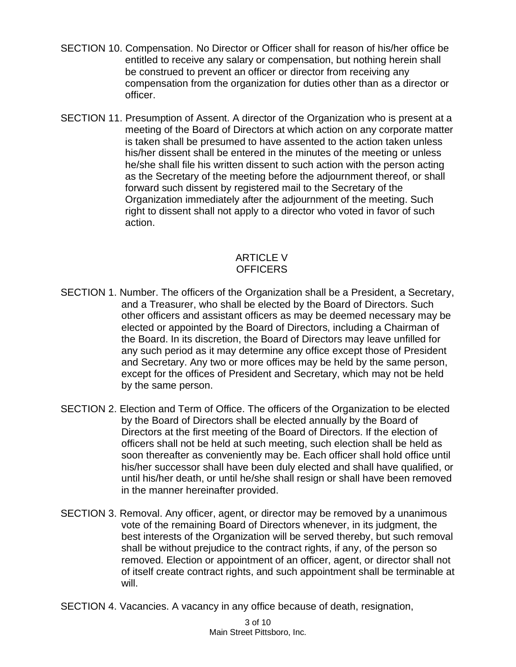- SECTION 10. Compensation. No Director or Officer shall for reason of his/her office be entitled to receive any salary or compensation, but nothing herein shall be construed to prevent an officer or director from receiving any compensation from the organization for duties other than as a director or officer.
- SECTION 11. Presumption of Assent. A director of the Organization who is present at a meeting of the Board of Directors at which action on any corporate matter is taken shall be presumed to have assented to the action taken unless his/her dissent shall be entered in the minutes of the meeting or unless he/she shall file his written dissent to such action with the person acting as the Secretary of the meeting before the adjournment thereof, or shall forward such dissent by registered mail to the Secretary of the Organization immediately after the adjournment of the meeting. Such right to dissent shall not apply to a director who voted in favor of such action.

# ARTICLE V **OFFICERS**

- SECTION 1. Number. The officers of the Organization shall be a President, a Secretary, and a Treasurer, who shall be elected by the Board of Directors. Such other officers and assistant officers as may be deemed necessary may be elected or appointed by the Board of Directors, including a Chairman of the Board. In its discretion, the Board of Directors may leave unfilled for any such period as it may determine any office except those of President and Secretary. Any two or more offices may be held by the same person, except for the offices of President and Secretary, which may not be held by the same person.
- SECTION 2. Election and Term of Office. The officers of the Organization to be elected by the Board of Directors shall be elected annually by the Board of Directors at the first meeting of the Board of Directors. If the election of officers shall not be held at such meeting, such election shall be held as soon thereafter as conveniently may be. Each officer shall hold office until his/her successor shall have been duly elected and shall have qualified, or until his/her death, or until he/she shall resign or shall have been removed in the manner hereinafter provided.
- SECTION 3. Removal. Any officer, agent, or director may be removed by a unanimous vote of the remaining Board of Directors whenever, in its judgment, the best interests of the Organization will be served thereby, but such removal shall be without prejudice to the contract rights, if any, of the person so removed. Election or appointment of an officer, agent, or director shall not of itself create contract rights, and such appointment shall be terminable at will.
- SECTION 4. Vacancies. A vacancy in any office because of death, resignation,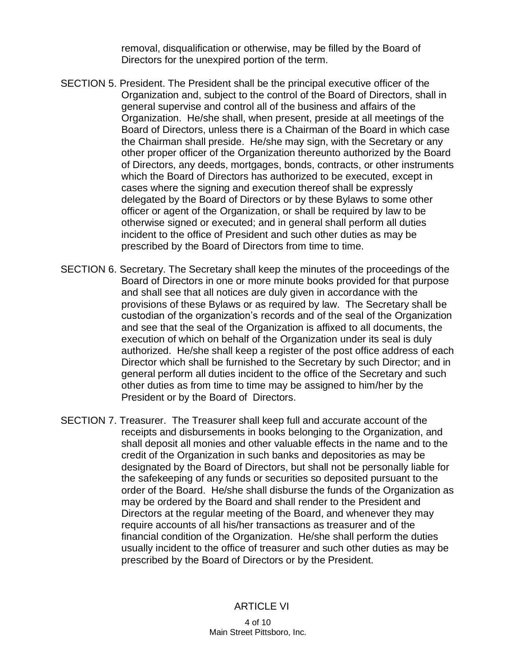removal, disqualification or otherwise, may be filled by the Board of Directors for the unexpired portion of the term.

- SECTION 5. President. The President shall be the principal executive officer of the Organization and, subject to the control of the Board of Directors, shall in general supervise and control all of the business and affairs of the Organization. He/she shall, when present, preside at all meetings of the Board of Directors, unless there is a Chairman of the Board in which case the Chairman shall preside. He/she may sign, with the Secretary or any other proper officer of the Organization thereunto authorized by the Board of Directors, any deeds, mortgages, bonds, contracts, or other instruments which the Board of Directors has authorized to be executed, except in cases where the signing and execution thereof shall be expressly delegated by the Board of Directors or by these Bylaws to some other officer or agent of the Organization, or shall be required by law to be otherwise signed or executed; and in general shall perform all duties incident to the office of President and such other duties as may be prescribed by the Board of Directors from time to time.
- SECTION 6. Secretary. The Secretary shall keep the minutes of the proceedings of the Board of Directors in one or more minute books provided for that purpose and shall see that all notices are duly given in accordance with the provisions of these Bylaws or as required by law. The Secretary shall be custodian of the organization's records and of the seal of the Organization and see that the seal of the Organization is affixed to all documents, the execution of which on behalf of the Organization under its seal is duly authorized. He/she shall keep a register of the post office address of each Director which shall be furnished to the Secretary by such Director; and in general perform all duties incident to the office of the Secretary and such other duties as from time to time may be assigned to him/her by the President or by the Board of Directors.
- SECTION 7. Treasurer. The Treasurer shall keep full and accurate account of the receipts and disbursements in books belonging to the Organization, and shall deposit all monies and other valuable effects in the name and to the credit of the Organization in such banks and depositories as may be designated by the Board of Directors, but shall not be personally liable for the safekeeping of any funds or securities so deposited pursuant to the order of the Board. He/she shall disburse the funds of the Organization as may be ordered by the Board and shall render to the President and Directors at the regular meeting of the Board, and whenever they may require accounts of all his/her transactions as treasurer and of the financial condition of the Organization. He/she shall perform the duties usually incident to the office of treasurer and such other duties as may be prescribed by the Board of Directors or by the President.

#### ARTICLE VI

4 of 10 Main Street Pittsboro, Inc.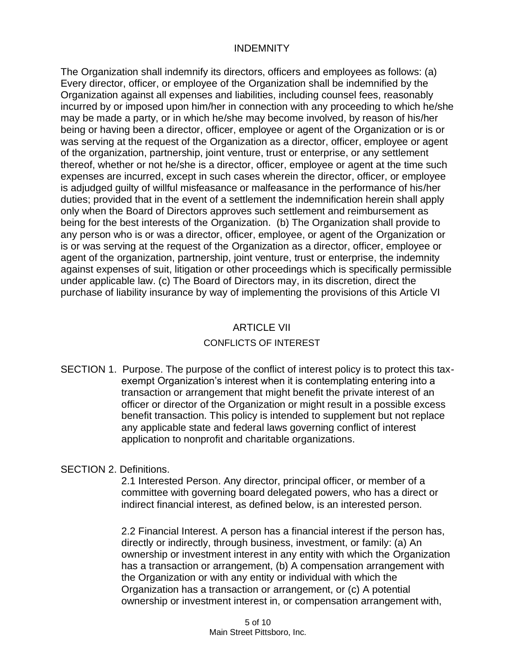## INDEMNITY

The Organization shall indemnify its directors, officers and employees as follows: (a) Every director, officer, or employee of the Organization shall be indemnified by the Organization against all expenses and liabilities, including counsel fees, reasonably incurred by or imposed upon him/her in connection with any proceeding to which he/she may be made a party, or in which he/she may become involved, by reason of his/her being or having been a director, officer, employee or agent of the Organization or is or was serving at the request of the Organization as a director, officer, employee or agent of the organization, partnership, joint venture, trust or enterprise, or any settlement thereof, whether or not he/she is a director, officer, employee or agent at the time such expenses are incurred, except in such cases wherein the director, officer, or employee is adjudged guilty of willful misfeasance or malfeasance in the performance of his/her duties; provided that in the event of a settlement the indemnification herein shall apply only when the Board of Directors approves such settlement and reimbursement as being for the best interests of the Organization. (b) The Organization shall provide to any person who is or was a director, officer, employee, or agent of the Organization or is or was serving at the request of the Organization as a director, officer, employee or agent of the organization, partnership, joint venture, trust or enterprise, the indemnity against expenses of suit, litigation or other proceedings which is specifically permissible under applicable law. (c) The Board of Directors may, in its discretion, direct the purchase of liability insurance by way of implementing the provisions of this Article VI

## ARTICLE VII

## CONFLICTS OF INTEREST

SECTION 1. Purpose. The purpose of the conflict of interest policy is to protect this taxexempt Organization's interest when it is contemplating entering into a transaction or arrangement that might benefit the private interest of an officer or director of the Organization or might result in a possible excess benefit transaction. This policy is intended to supplement but not replace any applicable state and federal laws governing conflict of interest application to nonprofit and charitable organizations.

## SECTION 2. Definitions.

2.1 Interested Person. Any director, principal officer, or member of a committee with governing board delegated powers, who has a direct or indirect financial interest, as defined below, is an interested person.

2.2 Financial Interest. A person has a financial interest if the person has, directly or indirectly, through business, investment, or family: (a) An ownership or investment interest in any entity with which the Organization has a transaction or arrangement, (b) A compensation arrangement with the Organization or with any entity or individual with which the Organization has a transaction or arrangement, or (c) A potential ownership or investment interest in, or compensation arrangement with,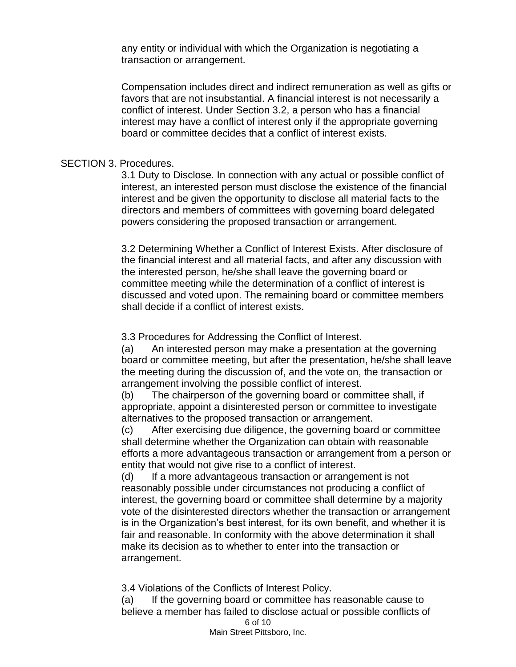any entity or individual with which the Organization is negotiating a transaction or arrangement.

Compensation includes direct and indirect remuneration as well as gifts or favors that are not insubstantial. A financial interest is not necessarily a conflict of interest. Under Section 3.2, a person who has a financial interest may have a conflict of interest only if the appropriate governing board or committee decides that a conflict of interest exists.

#### SECTION 3. Procedures.

3.1 Duty to Disclose. In connection with any actual or possible conflict of interest, an interested person must disclose the existence of the financial interest and be given the opportunity to disclose all material facts to the directors and members of committees with governing board delegated powers considering the proposed transaction or arrangement.

3.2 Determining Whether a Conflict of Interest Exists. After disclosure of the financial interest and all material facts, and after any discussion with the interested person, he/she shall leave the governing board or committee meeting while the determination of a conflict of interest is discussed and voted upon. The remaining board or committee members shall decide if a conflict of interest exists.

3.3 Procedures for Addressing the Conflict of Interest.

(a) An interested person may make a presentation at the governing board or committee meeting, but after the presentation, he/she shall leave the meeting during the discussion of, and the vote on, the transaction or arrangement involving the possible conflict of interest.

(b) The chairperson of the governing board or committee shall, if appropriate, appoint a disinterested person or committee to investigate alternatives to the proposed transaction or arrangement.

(c) After exercising due diligence, the governing board or committee shall determine whether the Organization can obtain with reasonable efforts a more advantageous transaction or arrangement from a person or entity that would not give rise to a conflict of interest.

(d) If a more advantageous transaction or arrangement is not reasonably possible under circumstances not producing a conflict of interest, the governing board or committee shall determine by a majority vote of the disinterested directors whether the transaction or arrangement is in the Organization's best interest, for its own benefit, and whether it is fair and reasonable. In conformity with the above determination it shall make its decision as to whether to enter into the transaction or arrangement.

3.4 Violations of the Conflicts of Interest Policy.

6 of 10 Main Street Pittsboro, Inc. (a) If the governing board or committee has reasonable cause to believe a member has failed to disclose actual or possible conflicts of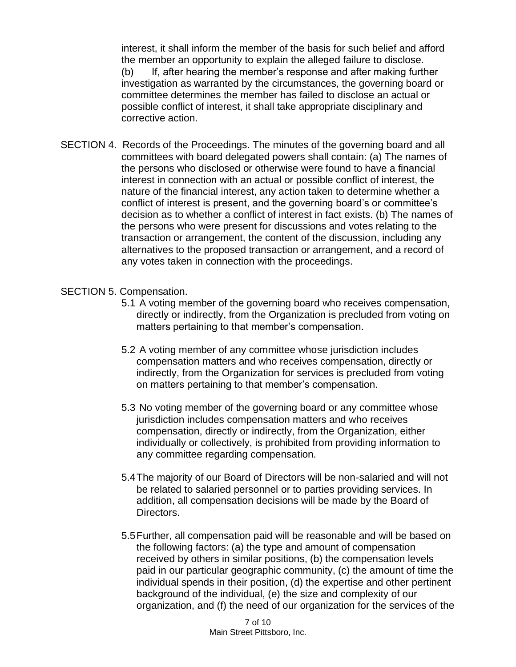interest, it shall inform the member of the basis for such belief and afford the member an opportunity to explain the alleged failure to disclose. (b) If, after hearing the member's response and after making further investigation as warranted by the circumstances, the governing board or committee determines the member has failed to disclose an actual or possible conflict of interest, it shall take appropriate disciplinary and corrective action.

SECTION 4. Records of the Proceedings. The minutes of the governing board and all committees with board delegated powers shall contain: (a) The names of the persons who disclosed or otherwise were found to have a financial interest in connection with an actual or possible conflict of interest, the nature of the financial interest, any action taken to determine whether a conflict of interest is present, and the governing board's or committee's decision as to whether a conflict of interest in fact exists. (b) The names of the persons who were present for discussions and votes relating to the transaction or arrangement, the content of the discussion, including any alternatives to the proposed transaction or arrangement, and a record of any votes taken in connection with the proceedings.

## SECTION 5. Compensation.

- 5.1 A voting member of the governing board who receives compensation, directly or indirectly, from the Organization is precluded from voting on matters pertaining to that member's compensation.
- 5.2 A voting member of any committee whose jurisdiction includes compensation matters and who receives compensation, directly or indirectly, from the Organization for services is precluded from voting on matters pertaining to that member's compensation.
- 5.3 No voting member of the governing board or any committee whose jurisdiction includes compensation matters and who receives compensation, directly or indirectly, from the Organization, either individually or collectively, is prohibited from providing information to any committee regarding compensation.
- 5.4The majority of our Board of Directors will be non-salaried and will not be related to salaried personnel or to parties providing services. In addition, all compensation decisions will be made by the Board of Directors.
- 5.5Further, all compensation paid will be reasonable and will be based on the following factors: (a) the type and amount of compensation received by others in similar positions, (b) the compensation levels paid in our particular geographic community, (c) the amount of time the individual spends in their position, (d) the expertise and other pertinent background of the individual, (e) the size and complexity of our organization, and (f) the need of our organization for the services of the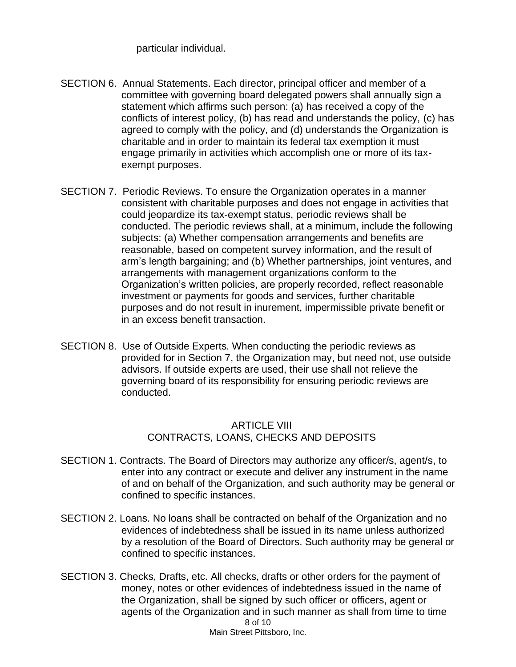particular individual.

- SECTION 6. Annual Statements. Each director, principal officer and member of a committee with governing board delegated powers shall annually sign a statement which affirms such person: (a) has received a copy of the conflicts of interest policy, (b) has read and understands the policy, (c) has agreed to comply with the policy, and (d) understands the Organization is charitable and in order to maintain its federal tax exemption it must engage primarily in activities which accomplish one or more of its taxexempt purposes.
- SECTION 7. Periodic Reviews. To ensure the Organization operates in a manner consistent with charitable purposes and does not engage in activities that could jeopardize its tax-exempt status, periodic reviews shall be conducted. The periodic reviews shall, at a minimum, include the following subjects: (a) Whether compensation arrangements and benefits are reasonable, based on competent survey information, and the result of arm's length bargaining; and (b) Whether partnerships, joint ventures, and arrangements with management organizations conform to the Organization's written policies, are properly recorded, reflect reasonable investment or payments for goods and services, further charitable purposes and do not result in inurement, impermissible private benefit or in an excess benefit transaction.
- SECTION 8. Use of Outside Experts. When conducting the periodic reviews as provided for in Section 7, the Organization may, but need not, use outside advisors. If outside experts are used, their use shall not relieve the governing board of its responsibility for ensuring periodic reviews are conducted.

# ARTICLE VIII CONTRACTS, LOANS, CHECKS AND DEPOSITS

- SECTION 1. Contracts. The Board of Directors may authorize any officer/s, agent/s, to enter into any contract or execute and deliver any instrument in the name of and on behalf of the Organization, and such authority may be general or confined to specific instances.
- SECTION 2. Loans. No loans shall be contracted on behalf of the Organization and no evidences of indebtedness shall be issued in its name unless authorized by a resolution of the Board of Directors. Such authority may be general or confined to specific instances.
- 8 of 10 Main Street Pittsboro, Inc. SECTION 3. Checks, Drafts, etc. All checks, drafts or other orders for the payment of money, notes or other evidences of indebtedness issued in the name of the Organization, shall be signed by such officer or officers, agent or agents of the Organization and in such manner as shall from time to time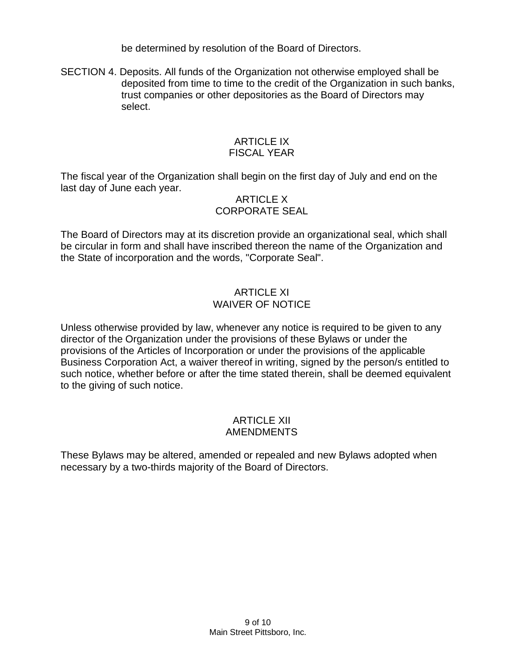be determined by resolution of the Board of Directors.

SECTION 4. Deposits. All funds of the Organization not otherwise employed shall be deposited from time to time to the credit of the Organization in such banks, trust companies or other depositories as the Board of Directors may select.

## ARTICLE IX FISCAL YEAR

The fiscal year of the Organization shall begin on the first day of July and end on the last day of June each year.

## ARTICLE X CORPORATE SEAL

The Board of Directors may at its discretion provide an organizational seal, which shall be circular in form and shall have inscribed thereon the name of the Organization and the State of incorporation and the words, "Corporate Seal".

# ARTICLE XI WAIVER OF NOTICE

Unless otherwise provided by law, whenever any notice is required to be given to any director of the Organization under the provisions of these Bylaws or under the provisions of the Articles of Incorporation or under the provisions of the applicable Business Corporation Act, a waiver thereof in writing, signed by the person/s entitled to such notice, whether before or after the time stated therein, shall be deemed equivalent to the giving of such notice.

## ARTICLE XII AMENDMENTS

These Bylaws may be altered, amended or repealed and new Bylaws adopted when necessary by a two-thirds majority of the Board of Directors.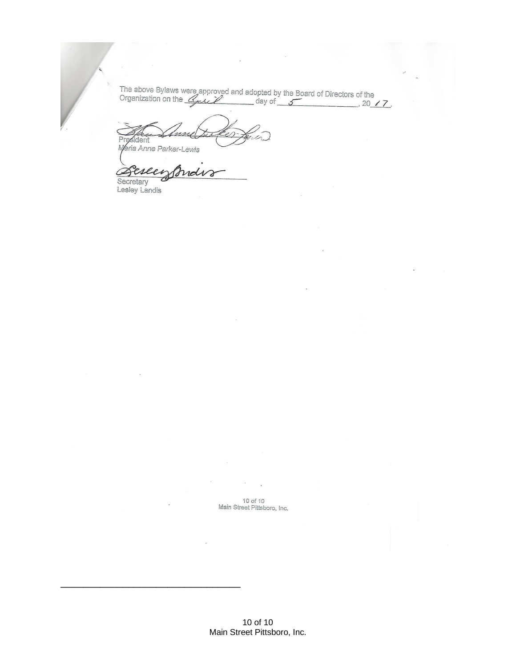The above Bylaws were approved and adopted by the Board of Directors of the Organization on the  $\frac{C_{\text{max}}}{C}$  day of  $\frac{6}{\sqrt{2}}$  and  $\frac{10}{\sqrt{7}}$ .

President Maria Anne Parker-Lewis

eseei rol

Secretary Lesley Landis

\_\_\_\_\_\_\_\_\_\_\_\_\_\_\_\_\_\_\_\_\_\_\_\_\_\_\_\_\_\_\_\_

10 of 10 Main Street Pittsboro, Inc.